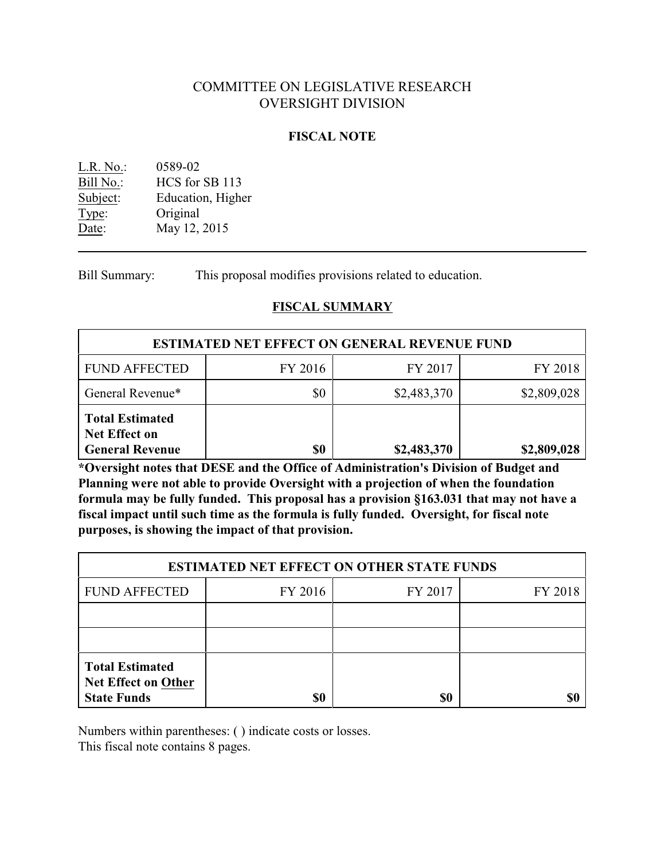# COMMITTEE ON LEGISLATIVE RESEARCH OVERSIGHT DIVISION

## **FISCAL NOTE**

| $L.R. No.$ : | 0589-02           |
|--------------|-------------------|
| Bill No.:    | HCS for SB 113    |
| Subject:     | Education, Higher |
| Type:        | Original          |
| Date:        | May 12, 2015      |

Bill Summary: This proposal modifies provisions related to education.

### **FISCAL SUMMARY**

| <b>ESTIMATED NET EFFECT ON GENERAL REVENUE FUND</b>                      |         |             |             |  |
|--------------------------------------------------------------------------|---------|-------------|-------------|--|
| <b>FUND AFFECTED</b>                                                     | FY 2016 | FY 2017     | FY 2018     |  |
| General Revenue*                                                         | \$0     | \$2,483,370 | \$2,809,028 |  |
| <b>Total Estimated</b><br><b>Net Effect on</b><br><b>General Revenue</b> | \$0     | \$2,483,370 | \$2,809,028 |  |

**\*Oversight notes that DESE and the Office of Administration's Division of Budget and Planning were not able to provide Oversight with a projection of when the foundation formula may be fully funded. This proposal has a provision §163.031 that may not have a fiscal impact until such time as the formula is fully funded. Oversight, for fiscal note purposes, is showing the impact of that provision.**

| <b>ESTIMATED NET EFFECT ON OTHER STATE FUNDS</b>                           |         |         |         |  |
|----------------------------------------------------------------------------|---------|---------|---------|--|
| <b>FUND AFFECTED</b>                                                       | FY 2016 | FY 2017 | FY 2018 |  |
|                                                                            |         |         |         |  |
|                                                                            |         |         |         |  |
| <b>Total Estimated</b><br><b>Net Effect on Other</b><br><b>State Funds</b> | \$0     | \$0     |         |  |

Numbers within parentheses: ( ) indicate costs or losses.

This fiscal note contains 8 pages.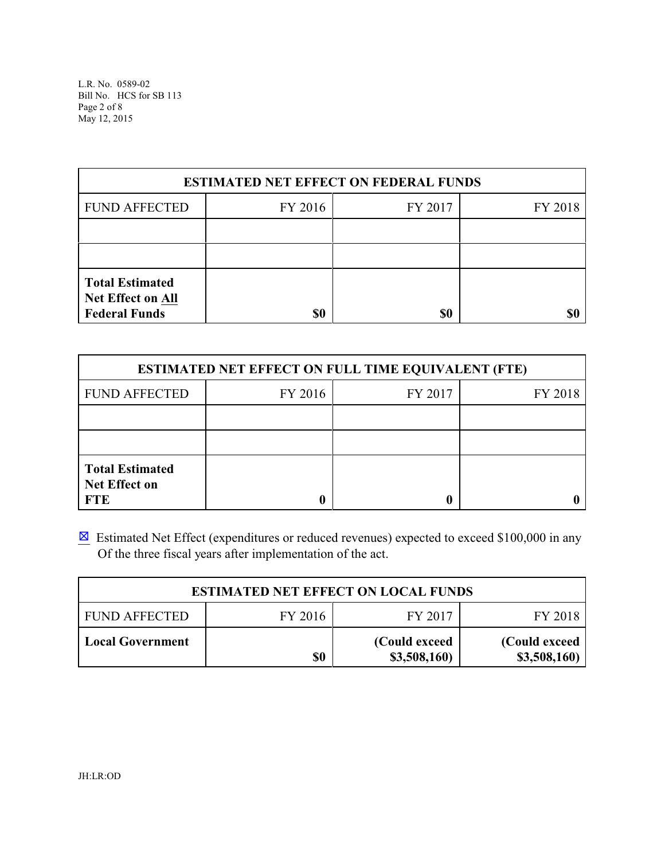L.R. No. 0589-02 Bill No. HCS for SB 113 Page 2 of 8 May 12, 2015

| <b>ESTIMATED NET EFFECT ON FEDERAL FUNDS</b>                        |         |         |         |  |
|---------------------------------------------------------------------|---------|---------|---------|--|
| <b>FUND AFFECTED</b>                                                | FY 2016 | FY 2017 | FY 2018 |  |
|                                                                     |         |         |         |  |
|                                                                     |         |         |         |  |
| <b>Total Estimated</b><br>Net Effect on All<br><b>Federal Funds</b> | \$0     | \$0     |         |  |

| <b>ESTIMATED NET EFFECT ON FULL TIME EQUIVALENT (FTE)</b>    |         |         |         |  |
|--------------------------------------------------------------|---------|---------|---------|--|
| <b>FUND AFFECTED</b>                                         | FY 2016 | FY 2017 | FY 2018 |  |
|                                                              |         |         |         |  |
|                                                              |         |         |         |  |
| <b>Total Estimated</b><br><b>Net Effect on</b><br><b>FTE</b> |         |         |         |  |

 $\boxtimes$  Estimated Net Effect (expenditures or reduced revenues) expected to exceed \$100,000 in any Of the three fiscal years after implementation of the act.

| <b>ESTIMATED NET EFFECT ON LOCAL FUNDS</b> |         |                                |                                |
|--------------------------------------------|---------|--------------------------------|--------------------------------|
| <b>FUND AFFECTED</b>                       | FY 2016 | FY 2017                        | FY 2018                        |
| <b>Local Government</b>                    | \$0     | (Could exceed)<br>\$3,508,160) | (Could exceed)<br>\$3,508,160) |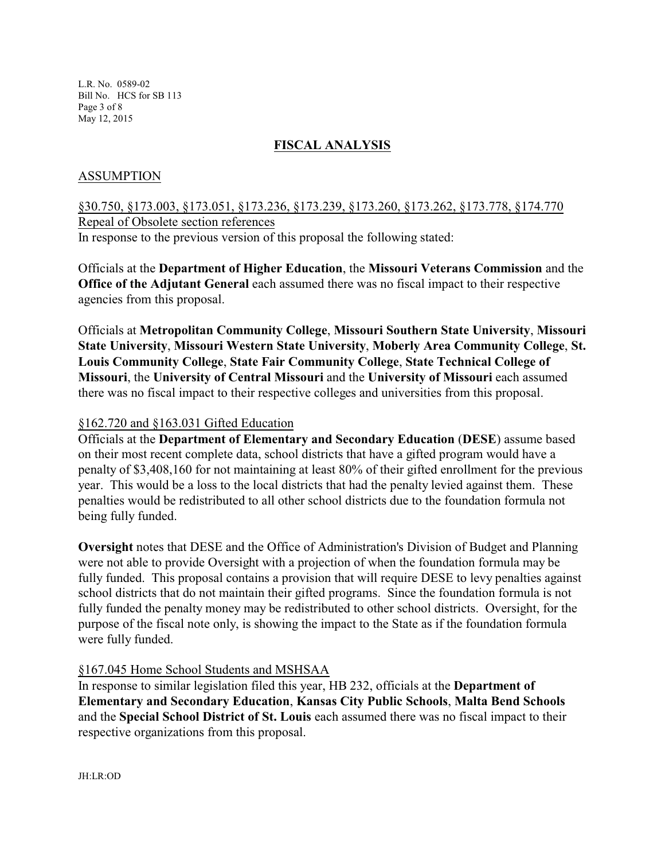L.R. No. 0589-02 Bill No. HCS for SB 113 Page 3 of 8 May 12, 2015

## **FISCAL ANALYSIS**

### ASSUMPTION

# §30.750, §173.003, §173.051, §173.236, §173.239, §173.260, §173.262, §173.778, §174.770 Repeal of Obsolete section references In response to the previous version of this proposal the following stated:

Officials at the **Department of Higher Education**, the **Missouri Veterans Commission** and the **Office of the Adjutant General** each assumed there was no fiscal impact to their respective agencies from this proposal.

Officials at **Metropolitan Community College**, **Missouri Southern State University**, **Missouri State University**, **Missouri Western State University**, **Moberly Area Community College**, **St. Louis Community College**, **State Fair Community College**, **State Technical College of Missouri**, the **University of Central Missouri** and the **University of Missouri** each assumed there was no fiscal impact to their respective colleges and universities from this proposal.

#### §162.720 and §163.031 Gifted Education

Officials at the **Department of Elementary and Secondary Education** (**DESE**) assume based on their most recent complete data, school districts that have a gifted program would have a penalty of \$3,408,160 for not maintaining at least 80% of their gifted enrollment for the previous year. This would be a loss to the local districts that had the penalty levied against them. These penalties would be redistributed to all other school districts due to the foundation formula not being fully funded.

**Oversight** notes that DESE and the Office of Administration's Division of Budget and Planning were not able to provide Oversight with a projection of when the foundation formula may be fully funded. This proposal contains a provision that will require DESE to levy penalties against school districts that do not maintain their gifted programs. Since the foundation formula is not fully funded the penalty money may be redistributed to other school districts. Oversight, for the purpose of the fiscal note only, is showing the impact to the State as if the foundation formula were fully funded.

### §167.045 Home School Students and MSHSAA

In response to similar legislation filed this year, HB 232, officials at the **Department of Elementary and Secondary Education**, **Kansas City Public Schools**, **Malta Bend Schools** and the **Special School District of St. Louis** each assumed there was no fiscal impact to their respective organizations from this proposal.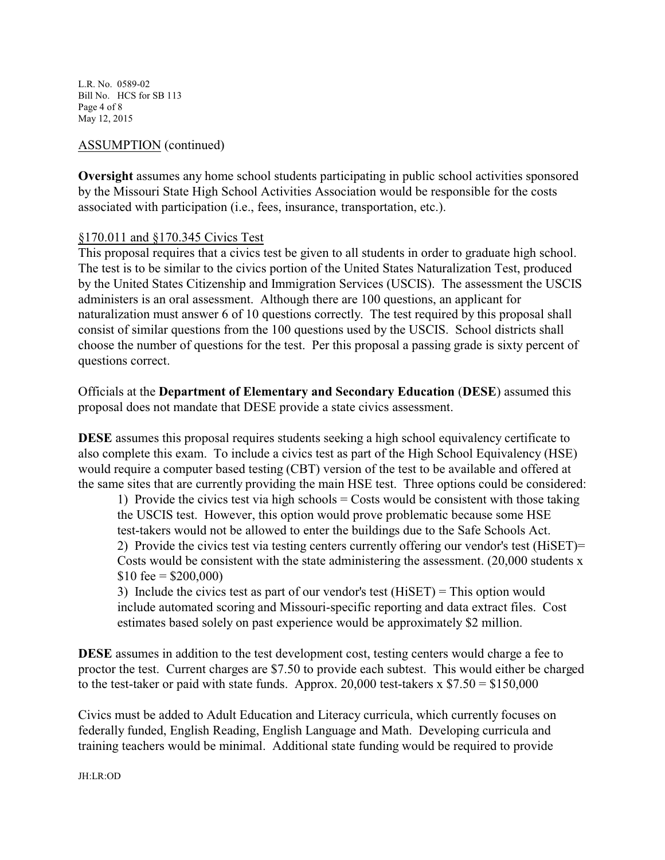L.R. No. 0589-02 Bill No. HCS for SB 113 Page 4 of 8 May 12, 2015

## ASSUMPTION (continued)

**Oversight** assumes any home school students participating in public school activities sponsored by the Missouri State High School Activities Association would be responsible for the costs associated with participation (i.e., fees, insurance, transportation, etc.).

## §170.011 and §170.345 Civics Test

This proposal requires that a civics test be given to all students in order to graduate high school. The test is to be similar to the civics portion of the United States Naturalization Test, produced by the United States Citizenship and Immigration Services (USCIS). The assessment the USCIS administers is an oral assessment. Although there are 100 questions, an applicant for naturalization must answer 6 of 10 questions correctly. The test required by this proposal shall consist of similar questions from the 100 questions used by the USCIS. School districts shall choose the number of questions for the test. Per this proposal a passing grade is sixty percent of questions correct.

Officials at the **Department of Elementary and Secondary Education** (**DESE**) assumed this proposal does not mandate that DESE provide a state civics assessment.

**DESE** assumes this proposal requires students seeking a high school equivalency certificate to also complete this exam. To include a civics test as part of the High School Equivalency (HSE) would require a computer based testing (CBT) version of the test to be available and offered at the same sites that are currently providing the main HSE test. Three options could be considered:

1) Provide the civics test via high schools  $=$  Costs would be consistent with those taking the USCIS test. However, this option would prove problematic because some HSE test-takers would not be allowed to enter the buildings due to the Safe Schools Act. 2) Provide the civics test via testing centers currently offering our vendor's test (HiSET)= Costs would be consistent with the state administering the assessment. (20,000 students x  $$10 \text{ fee} = $200,000$ 

3) Include the civics test as part of our vendor's test (HiSET) = This option would include automated scoring and Missouri-specific reporting and data extract files. Cost estimates based solely on past experience would be approximately \$2 million.

**DESE** assumes in addition to the test development cost, testing centers would charge a fee to proctor the test. Current charges are \$7.50 to provide each subtest. This would either be charged to the test-taker or paid with state funds. Approx. 20,000 test-takers  $x $7.50 = $150,000$ 

Civics must be added to Adult Education and Literacy curricula, which currently focuses on federally funded, English Reading, English Language and Math. Developing curricula and training teachers would be minimal. Additional state funding would be required to provide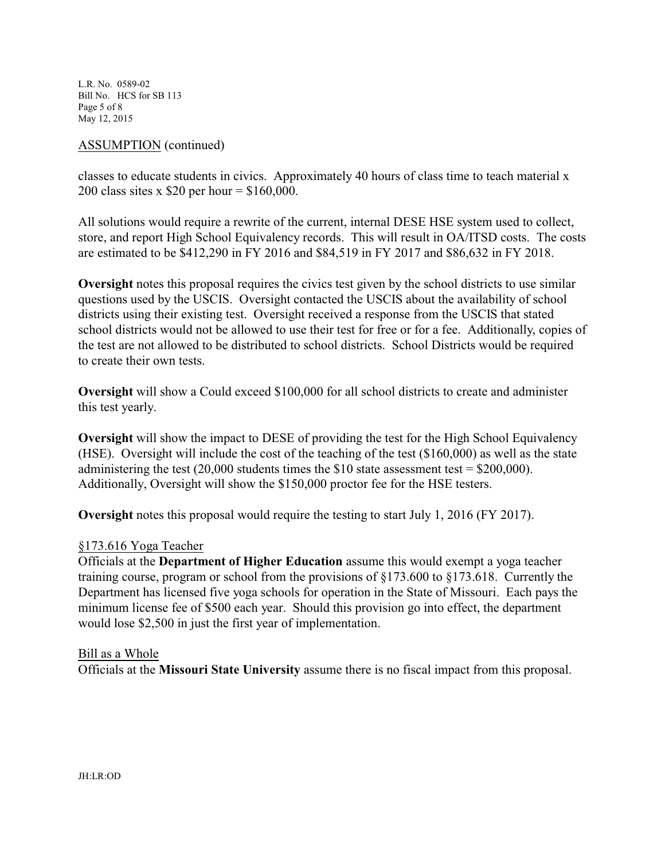L.R. No. 0589-02 Bill No. HCS for SB 113 Page 5 of 8 May 12, 2015

#### ASSUMPTION (continued)

classes to educate students in civics. Approximately 40 hours of class time to teach material x 200 class sites x \$20 per hour = \$160,000.

All solutions would require a rewrite of the current, internal DESE HSE system used to collect, store, and report High School Equivalency records. This will result in OA/ITSD costs. The costs are estimated to be \$412,290 in FY 2016 and \$84,519 in FY 2017 and \$86,632 in FY 2018.

**Oversight** notes this proposal requires the civics test given by the school districts to use similar questions used by the USCIS. Oversight contacted the USCIS about the availability of school districts using their existing test. Oversight received a response from the USCIS that stated school districts would not be allowed to use their test for free or for a fee. Additionally, copies of the test are not allowed to be distributed to school districts. School Districts would be required to create their own tests.

**Oversight** will show a Could exceed \$100,000 for all school districts to create and administer this test yearly.

**Oversight** will show the impact to DESE of providing the test for the High School Equivalency (HSE). Oversight will include the cost of the teaching of the test (\$160,000) as well as the state administering the test  $(20,000$  students times the \$10 state assessment test = \$200,000). Additionally, Oversight will show the \$150,000 proctor fee for the HSE testers.

**Oversight** notes this proposal would require the testing to start July 1, 2016 (FY 2017).

### §173.616 Yoga Teacher

Officials at the **Department of Higher Education** assume this would exempt a yoga teacher training course, program or school from the provisions of §173.600 to §173.618. Currently the Department has licensed five yoga schools for operation in the State of Missouri. Each pays the minimum license fee of \$500 each year. Should this provision go into effect, the department would lose \$2,500 in just the first year of implementation.

#### Bill as a Whole

Officials at the **Missouri State University** assume there is no fiscal impact from this proposal.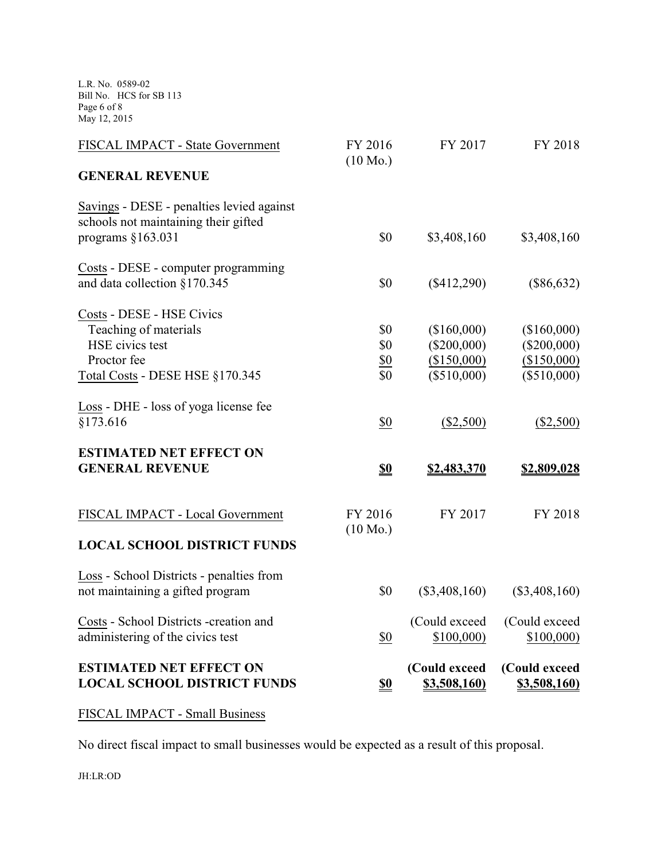L.R. No. 0589-02 Bill No. HCS for SB 113 Page 6 of 8 May 12, 2015

| <b>ESTIMATED NET EFFECT ON</b><br><b>LOCAL SCHOOL DISTRICT FUNDS</b>                                     | S <sub>0</sub>                | (Could exceed<br><u>\$3,508,160)</u> | (Could exceed<br><u>\$3,508,160)</u> |
|----------------------------------------------------------------------------------------------------------|-------------------------------|--------------------------------------|--------------------------------------|
| Costs - School Districts -creation and<br>administering of the civics test                               | \$0                           | (Could exceed<br>\$100,000)          | (Could exceed<br>\$100,000           |
| Loss - School Districts - penalties from<br>not maintaining a gifted program                             | \$0                           | $(\$3,408,160)$                      | $(\$3,408,160)$                      |
| <b>LOCAL SCHOOL DISTRICT FUNDS</b>                                                                       |                               |                                      |                                      |
| FISCAL IMPACT - Local Government                                                                         | FY 2016<br>$(10 \text{ Mo.})$ | FY 2017                              | FY 2018                              |
| <b>ESTIMATED NET EFFECT ON</b><br><b>GENERAL REVENUE</b>                                                 | \$0                           | \$2,483,370                          | \$2,809,028                          |
| Loss - DHE - loss of yoga license fee<br>§173.616                                                        | $\underline{\$0}$             | (\$2,500)                            | (\$2,500)                            |
| Total Costs - DESE HSE §170.345                                                                          | \$0                           | (\$510,000)                          | (\$510,000)                          |
| Proctor fee                                                                                              | $\underline{\$0}$             | (\$150,000)                          | (\$150,000)                          |
| Teaching of materials<br>HSE civics test                                                                 | \$0<br>\$0                    | (\$160,000)<br>(\$200,000)           | (\$160,000)<br>$(\$200,000)$         |
| Costs - DESE - HSE Civics                                                                                |                               |                                      |                                      |
| Costs - DESE - computer programming<br>and data collection §170.345                                      | \$0                           | $(\$412,290)$                        | $(\$86,632)$                         |
| Savings - DESE - penalties levied against<br>schools not maintaining their gifted<br>programs $§163.031$ | \$0                           | \$3,408,160                          | \$3,408,160                          |
| <b>GENERAL REVENUE</b>                                                                                   |                               |                                      |                                      |
| FISCAL IMPACT - State Government                                                                         | FY 2016<br>$(10 \text{ Mo.})$ | FY 2017                              | FY 2018                              |

FISCAL IMPACT - Small Business

No direct fiscal impact to small businesses would be expected as a result of this proposal.

JH:LR:OD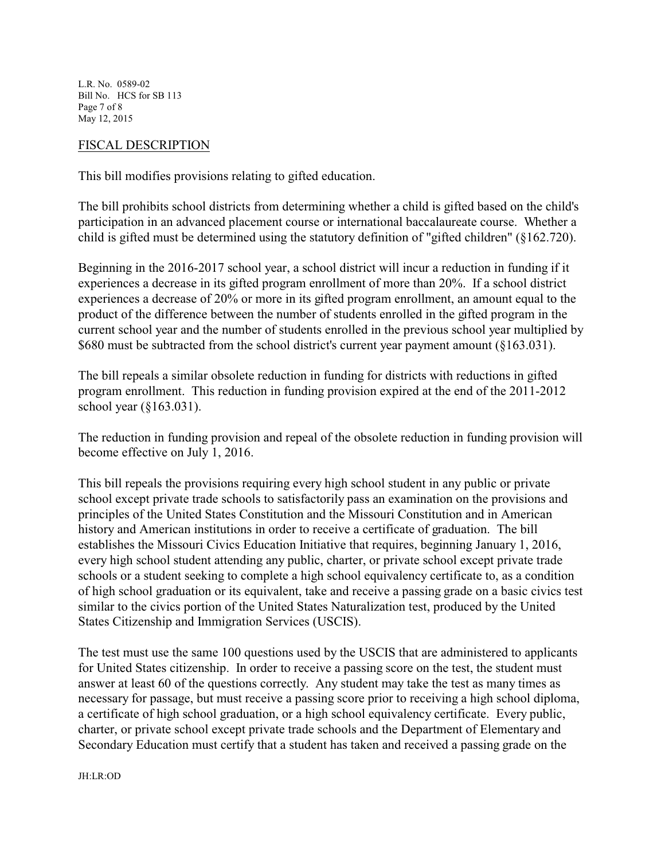L.R. No. 0589-02 Bill No. HCS for SB 113 Page 7 of 8 May 12, 2015

#### FISCAL DESCRIPTION

This bill modifies provisions relating to gifted education.

The bill prohibits school districts from determining whether a child is gifted based on the child's participation in an advanced placement course or international baccalaureate course. Whether a child is gifted must be determined using the statutory definition of "gifted children" (§162.720).

Beginning in the 2016-2017 school year, a school district will incur a reduction in funding if it experiences a decrease in its gifted program enrollment of more than 20%. If a school district experiences a decrease of 20% or more in its gifted program enrollment, an amount equal to the product of the difference between the number of students enrolled in the gifted program in the current school year and the number of students enrolled in the previous school year multiplied by \$680 must be subtracted from the school district's current year payment amount (§163.031).

The bill repeals a similar obsolete reduction in funding for districts with reductions in gifted program enrollment. This reduction in funding provision expired at the end of the 2011-2012 school year (§163.031).

The reduction in funding provision and repeal of the obsolete reduction in funding provision will become effective on July 1, 2016.

This bill repeals the provisions requiring every high school student in any public or private school except private trade schools to satisfactorily pass an examination on the provisions and principles of the United States Constitution and the Missouri Constitution and in American history and American institutions in order to receive a certificate of graduation. The bill establishes the Missouri Civics Education Initiative that requires, beginning January 1, 2016, every high school student attending any public, charter, or private school except private trade schools or a student seeking to complete a high school equivalency certificate to, as a condition of high school graduation or its equivalent, take and receive a passing grade on a basic civics test similar to the civics portion of the United States Naturalization test, produced by the United States Citizenship and Immigration Services (USCIS).

The test must use the same 100 questions used by the USCIS that are administered to applicants for United States citizenship. In order to receive a passing score on the test, the student must answer at least 60 of the questions correctly. Any student may take the test as many times as necessary for passage, but must receive a passing score prior to receiving a high school diploma, a certificate of high school graduation, or a high school equivalency certificate. Every public, charter, or private school except private trade schools and the Department of Elementary and Secondary Education must certify that a student has taken and received a passing grade on the